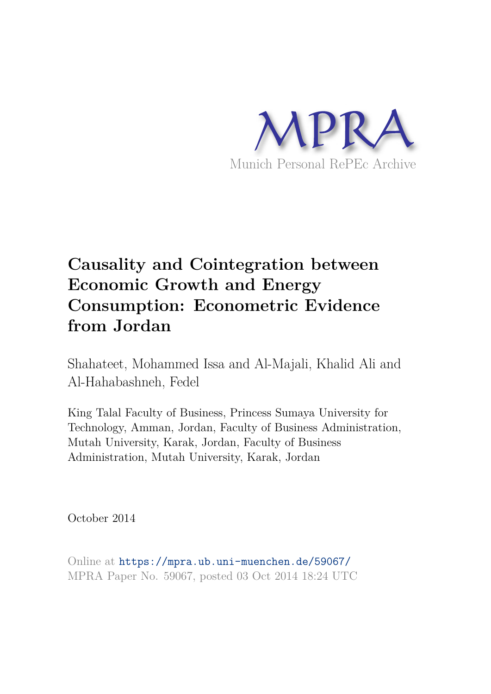

# **Causality and Cointegration between Economic Growth and Energy Consumption: Econometric Evidence from Jordan**

Shahateet, Mohammed Issa and Al-Majali, Khalid Ali and Al-Hahabashneh, Fedel

King Talal Faculty of Business, Princess Sumaya University for Technology, Amman, Jordan, Faculty of Business Administration, Mutah University, Karak, Jordan, Faculty of Business Administration, Mutah University, Karak, Jordan

October 2014

Online at https://mpra.ub.uni-muenchen.de/59067/ MPRA Paper No. 59067, posted 03 Oct 2014 18:24 UTC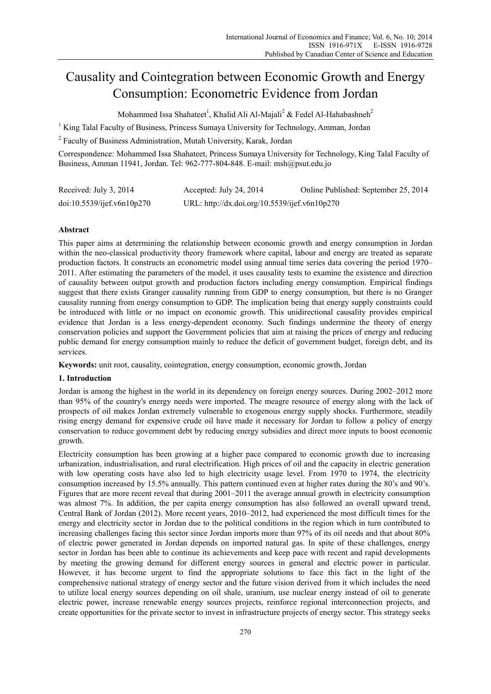# Causality and Cointegration between Economic Growth and Energy Consumption: Econometric Evidence from Jordan

Mohammed Issa Shahateet $^{\rm l}$ , Khalid Ali Al-Majali $^{\rm 2}$  & Fedel Al-Hahabashneh $^{\rm 2}$ 

<sup>1</sup> King Talal Faculty of Business, Princess Sumaya University for Technology, Amman, Jordan

<sup>2</sup> Faculty of Business Administration, Mutah University, Karak, Jordan

Correspondence: Mohammed Issa Shahateet, Princess Sumaya University for Technology, King Talal Faculty of Business, Amman 11941, Jordan. Tel: 962-777-804-848. E-mail: msh@psut.edu.jo

| Received: July 3, 2014     | Accepted: July 24, 2014                       | Online Published: September 25, 2014 |
|----------------------------|-----------------------------------------------|--------------------------------------|
| doi:10.5539/ijef.v6n10p270 | URL: http://dx.doi.org/10.5539/ijef.v6n10p270 |                                      |

# **Abstract**

This paper aims at determining the relationship between economic growth and energy consumption in Jordan within the neo-classical productivity theory framework where capital, labour and energy are treated as separate production factors. It constructs an econometric model using annual time series data covering the period 1970– 2011. After estimating the parameters of the model, it uses causality tests to examine the existence and direction of causality between output growth and production factors including energy consumption. Empirical findings suggest that there exists Granger causality running from GDP to energy consumption, but there is no Granger causality running from energy consumption to GDP. The implication being that energy supply constraints could be introduced with little or no impact on economic growth. This unidirectional causality provides empirical evidence that Jordan is a less energy-dependent economy. Such findings undermine the theory of energy conservation policies and support the Government policies that aim at raising the prices of energy and reducing public demand for energy consumption mainly to reduce the deficit of government budget, foreign debt, and its services.

**Keywords:** unit root, causality, cointegration, energy consumption, economic growth, Jordan

# **1. Introduction**

Jordan is among the highest in the world in its dependency on foreign energy sources. During 2002–2012 more than 95% of the country's energy needs were imported. The meagre resource of energy along with the lack of prospects of oil makes Jordan extremely vulnerable to exogenous energy supply shocks. Furthermore, steadily rising energy demand for expensive crude oil have made it necessary for Jordan to follow a policy of energy conservation to reduce government debt by reducing energy subsidies and direct more inputs to boost economic growth.

Electricity consumption has been growing at a higher pace compared to economic growth due to increasing urbanization, industrialisation, and rural electrification. High prices of oil and the capacity in electric generation with low operating costs have also led to high electricity usage level. From 1970 to 1974, the electricity consumption increased by 15.5% annually. This pattern continued even at higher rates during the 80's and 90's. Figures that are more recent reveal that during 2001–2011 the average annual growth in electricity consumption was almost 7%. In addition, the per capita energy consumption has also followed an overall upward trend, Central Bank of Jordan (2012). More recent years, 2010–2012, had experienced the most difficult times for the energy and electricity sector in Jordan due to the political conditions in the region which in turn contributed to increasing challenges facing this sector since Jordan imports more than 97% of its oil needs and that about 80% of electric power generated in Jordan depends on imported natural gas. In spite of these challenges, energy sector in Jordan has been able to continue its achievements and keep pace with recent and rapid developments by meeting the growing demand for different energy sources in general and electric power in particular. However, it has become urgent to find the appropriate solutions to face this fact in the light of the comprehensive national strategy of energy sector and the future vision derived from it which includes the need to utilize local energy sources depending on oil shale, uranium, use nuclear energy instead of oil to generate electric power, increase renewable energy sources projects, reinforce regional interconnection projects, and create opportunities for the private sector to invest in infrastructure projects of energy sector. This strategy seeks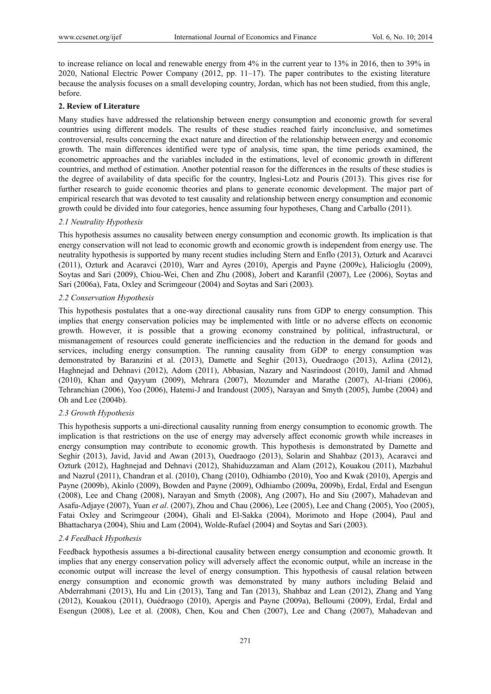to increase reliance on local and renewable energy from 4% in the current year to 13% in 2016, then to 39% in 2020, National Electric Power Company (2012, pp. 11–17). The paper contributes to the existing literature because the analysis focuses on a small developing country, Jordan, which has not been studied, from this angle, before.

#### **2. Review of Literature**

Many studies have addressed the relationship between energy consumption and economic growth for several countries using different models. The results of these studies reached fairly inconclusive, and sometimes controversial, results concerning the exact nature and direction of the relationship between energy and economic growth. The main differences identified were type of analysis, time span, the time periods examined, the econometric approaches and the variables included in the estimations, level of economic growth in different countries, and method of estimation. Another potential reason for the differences in the results of these studies is the degree of availability of data specific for the country, Inglesi-Lotz and Pouris (2013). This gives rise for further research to guide economic theories and plans to generate economic development. The major part of empirical research that was devoted to test causality and relationship between energy consumption and economic growth could be divided into four categories, hence assuming four hypotheses, Chang and Carballo (2011).

#### *2.1 Neutrality Hypothesis*

This hypothesis assumes no causality between energy consumption and economic growth. Its implication is that energy conservation will not lead to economic growth and economic growth is independent from energy use. The neutrality hypothesis is supported by many recent studies including Stern and Enflo (2013), Ozturk and Acaravci (2011), Ozturk and Acaravci (2010), Warr and Ayres (2010), Apergis and Payne (2009c), Halicioglu (2009), Soytas and Sari (2009), Chiou-Wei, Chen and Zhu (2008), Jobert and Karanfil (2007), Lee (2006), Soytas and Sari (2006a), Fata, Oxley and Scrimgeour (2004) and Soytas and Sari (2003).

#### *2.2 Conservation Hypothesis*

This hypothesis postulates that a one-way directional causality runs from GDP to energy consumption. This implies that energy conservation policies may be implemented with little or no adverse effects on economic growth. However, it is possible that a growing economy constrained by political, infrastructural, or mismanagement of resources could generate inefficiencies and the reduction in the demand for goods and services, including energy consumption. The running causality from GDP to energy consumption was demonstrated by Baranzini et al. (2013), Damette and Seghir (2013), Ouedraogo (2013), Azlina (2012), Haghnejad and Dehnavi (2012), Adom (2011), Abbasian, Nazary and Nasrindoost (2010), Jamil and Ahmad (2010), Khan and Qayyum (2009), Mehrara (2007), Mozumder and Marathe (2007), Al-Iriani (2006), Tehranchian (2006), Yoo (2006), Hatemi-J and Irandoust (2005), Narayan and Smyth (2005), Jumbe (2004) and Oh and Lee (2004b).

# *2.3 Growth Hypothesis*

This hypothesis supports a uni-directional causality running from energy consumption to economic growth. The implication is that restrictions on the use of energy may adversely affect economic growth while increases in energy consumption may contribute to economic growth. This hypothesis is demonstrated by Damette and Seghir (2013), Javid, Javid and Awan (2013), Ouedraogo (2013), Solarin and Shahbaz (2013), Acaravci and Ozturk (2012), Haghnejad and Dehnavi (2012), Shahiduzzaman and Alam (2012), Kouakou (2011), Mazbahul and Nazrul (2011), Chandran et al. (2010), Chang (2010), Odhiambo (2010), Yoo and Kwak (2010), Apergis and Payne (2009b), Akinlo (2009), Bowden and Payne (2009), Odhiambo (2009a, 2009b), Erdal, Erdal and Esengun (2008), Lee and Chang (2008), Narayan and Smyth (2008), Ang (2007), Ho and Siu (2007), Mahadevan and Asafu-Adjaye (2007), Yuan *et al*. (2007), Zhou and Chau (2006), Lee (2005), Lee and Chang (2005), Yoo (2005), Fatai Oxley and Scrimgeour (2004), Ghali and El-Sakka (2004), Morimoto and Hope (2004), Paul and Bhattacharya (2004), Shiu and Lam (2004), Wolde-Rufael (2004) and Soytas and Sari (2003).

# *2.4 Feedback Hypothesis*

Feedback hypothesis assumes a bi-directional causality between energy consumption and economic growth. It implies that any energy conservation policy will adversely affect the economic output, while an increase in the economic output will increase the level of energy consumption. This hypothesis of causal relation between energy consumption and economic growth was demonstrated by many authors including Belaid and Abderrahmani (2013), Hu and Lin (2013), Tang and Tan (2013), Shahbaz and Lean (2012), Zhang and Yang (2012), Kouakou (2011), Ouédraogo (2010), Apergis and Payne (2009a), Belloumi (2009), Erdal, Erdal and Esengun (2008), Lee et al. (2008), Chen, Kou and Chen (2007), Lee and Chang (2007), Mahadevan and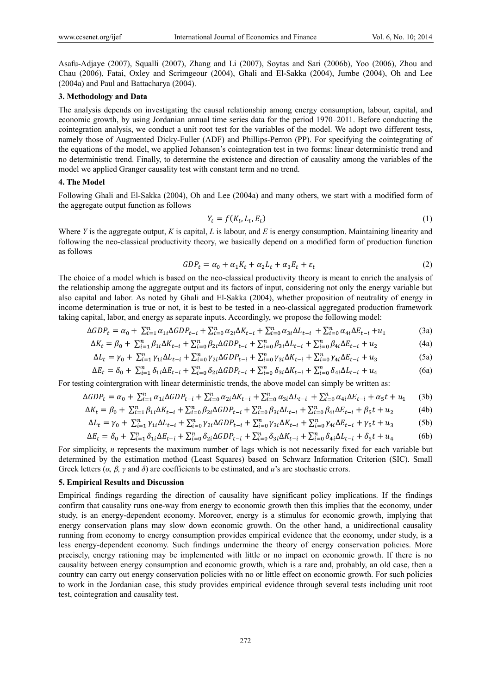Asafu-Adjaye (2007), Squalli (2007), Zhang and Li (2007), Soytas and Sari (2006b), Yoo (2006), Zhou and Chau (2006), Fatai, Oxley and Scrimgeour (2004), Ghali and El-Sakka (2004), Jumbe (2004), Oh and Lee (2004a) and Paul and Battacharya (2004).

#### **3. Methodology and Data**

The analysis depends on investigating the causal relationship among energy consumption, labour, capital, and economic growth, by using Jordanian annual time series data for the period 1970–2011. Before conducting the cointegration analysis, we conduct a unit root test for the variables of the model. We adopt two different tests, namely those of Augmented Dicky-Fuller (ADF) and Phillips-Perron (PP). For specifying the cointegrating of the equations of the model, we applied Johansen's cointegration test in two forms: linear deterministic trend and no deterministic trend. Finally, to determine the existence and direction of causality among the variables of the model we applied Granger causality test with constant term and no trend.

# **4. The Model**

Following Ghali and El-Sakka (2004), Oh and Lee (2004a) and many others, we start with a modified form of the aggregate output function as follows

$$
Y_t = f(K_t, L_t, E_t) \tag{1}
$$

Where *Y* is the aggregate output, *K* is capital, *L* is labour, and *E* is energy consumption. Maintaining linearity and following the neo-classical productivity theory, we basically depend on a modified form of production function as follows

$$
GDP_t = \alpha_0 + \alpha_1 K_t + \alpha_2 L_t + \alpha_3 E_t + \varepsilon_t \tag{2}
$$

The choice of a model which is based on the neo-classical productivity theory is meant to enrich the analysis of the relationship among the aggregate output and its factors of input, considering not only the energy variable but also capital and labor. As noted by Ghali and El-Sakka (2004), whether proposition of neutrality of energy in income determination is true or not, it is best to be tested in a neo-classical aggregated production framework taking capital, labor, and energy as separate inputs. Accordingly, we propose the following model:

$$
\Delta GDP_t = \alpha_0 + \sum_{i=1}^n \alpha_{1i} \Delta GDP_{t-i} + \sum_{i=0}^n \alpha_{2i} \Delta K_{t-i} + \sum_{i=0}^n \alpha_{3i} \Delta L_{t-i} + \sum_{i=0}^n \alpha_{4i} \Delta E_{t-i} + u_1
$$
(3a)

$$
\Delta K_t = \beta_0 + \sum_{i=1}^n \beta_{1i} \Delta K_{t-i} + \sum_{i=0}^n \beta_{2i} \Delta GDP_{t-i} + \sum_{i=0}^n \beta_{3i} \Delta L_{t-i} + \sum_{i=0}^n \beta_{4i} \Delta E_{t-i} + u_2
$$
(4a)

$$
\Delta L_t = \gamma_0 + \sum_{i=1}^n \gamma_{1i} \Delta L_{t-i} + \sum_{i=0}^n \gamma_{2i} \Delta GDP_{t-i} + \sum_{i=0}^n \gamma_{3i} \Delta K_{t-i} + \sum_{i=0}^n \gamma_{4i} \Delta E_{t-i} + u_3 \tag{5a}
$$

$$
\Delta E_t = \delta_0 + \sum_{i=1}^n \delta_{1i} \Delta E_{t-i} + \sum_{i=0}^n \delta_{2i} \Delta GDP_{t-i} + \sum_{i=0}^n \delta_{3i} \Delta K_{t-i} + \sum_{i=0}^n \delta_{4i} \Delta L_{t-i} + u_4
$$
(6a)

For testing cointergration with linear deterministic trends, the above model can simply be written as:

$$
\Delta GDP_t = \alpha_0 + \sum_{i=1}^n \alpha_{1i} \Delta GDP_{t-i} + \sum_{i=0}^n \alpha_{2i} \Delta K_{t-i} + \sum_{i=0}^n \alpha_{3i} \Delta L_{t-i} + \sum_{i=0}^n \alpha_{4i} \Delta E_{t-i} + \alpha_5 t + u_1 \tag{3b}
$$

$$
\Delta K_t = \beta_0 + \sum_{i=1}^n \beta_{1i} \Delta K_{t-i} + \sum_{i=0}^n \beta_{2i} \Delta GDP_{t-i} + \sum_{i=0}^n \beta_{3i} \Delta L_{t-i} + \sum_{i=0}^n \beta_{4i} \Delta E_{t-i} + \beta_5 t + u_2
$$
 (4b)

$$
\Delta L_t = \gamma_0 + \sum_{i=1}^n \gamma_{1i} \Delta L_{t-i} + \sum_{i=0}^n \gamma_{2i} \Delta GDP_{t-i} + \sum_{i=0}^n \gamma_{3i} \Delta K_{t-i} + \sum_{i=0}^n \gamma_{4i} \Delta E_{t-i} + \gamma_5 t + u_3
$$
 (5b)

$$
\Delta E_t = \delta_0 + \sum_{i=1}^n \delta_{1i} \Delta E_{t-i} + \sum_{i=0}^n \delta_{2i} \Delta GDP_{t-i} + \sum_{i=0}^n \delta_{3i} \Delta K_{t-i} + \sum_{i=0}^n \delta_{4i} \Delta L_{t-i} + \delta_5 t + u_4
$$
 (6b)

For simplicity, *n* represents the maximum number of lags which is not necessarily fixed for each variable but determined by the estimation method (Least Squares) based on Schwarz Information Criterion (SIC). Small Greek letters  $(\alpha, \beta, \gamma \text{ and } \delta)$  are coefficients to be estimated, and *u*'s are stochastic errors.

# **5. Empirical Results and Discussion**

Empirical findings regarding the direction of causality have significant policy implications. If the findings confirm that causality runs one-way from energy to economic growth then this implies that the economy, under study, is an energy-dependent economy. Moreover, energy is a stimulus for economic growth, implying that energy conservation plans may slow down economic growth. On the other hand, a unidirectional causality running from economy to energy consumption provides empirical evidence that the economy, under study, is a less energy-dependent economy. Such findings undermine the theory of energy conservation policies. More precisely, energy rationing may be implemented with little or no impact on economic growth. If there is no causality between energy consumption and economic growth, which is a rare and, probably, an old case, then a country can carry out energy conservation policies with no or little effect on economic growth. For such policies to work in the Jordanian case, this study provides empirical evidence through several tests including unit root test, cointegration and causality test.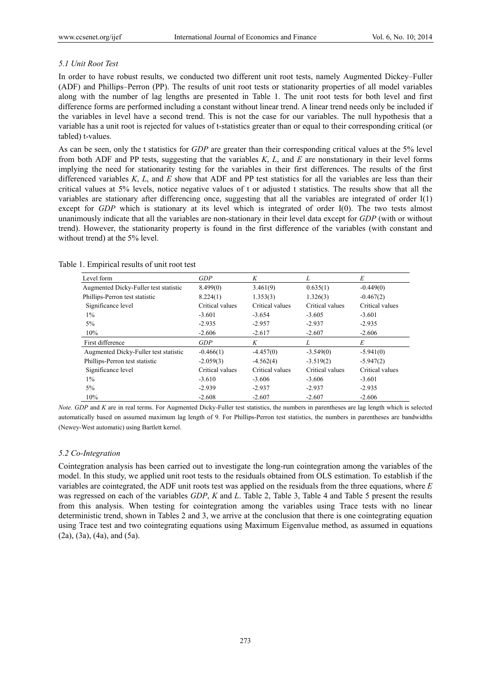#### *5.1 Unit Root Test*

In order to have robust results, we conducted two different unit root tests, namely Augmented Dickey–Fuller (ADF) and Phillips–Perron (PP). The results of unit root tests or stationarity properties of all model variables along with the number of lag lengths are presented in Table 1. The unit root tests for both level and first difference forms are performed including a constant without linear trend. A linear trend needs only be included if the variables in level have a second trend. This is not the case for our variables. The null hypothesis that a variable has a unit root is rejected for values of t-statistics greater than or equal to their corresponding critical (or tabled) t-values.

As can be seen, only the t statistics for *GDP* are greater than their corresponding critical values at the 5% level from both ADF and PP tests, suggesting that the variables *K*, *L*, and *E* are nonstationary in their level forms implying the need for stationarity testing for the variables in their first differences. The results of the first differenced variables *K*, *L*, and *E* show that ADF and PP test statistics for all the variables are less than their critical values at 5% levels, notice negative values of t or adjusted t statistics. The results show that all the variables are stationary after differencing once, suggesting that all the variables are integrated of order I(1) except for *GDP* which is stationary at its level which is integrated of order I(0). The two tests almost unanimously indicate that all the variables are non-stationary in their level data except for *GDP* (with or without trend). However, the stationarity property is found in the first difference of the variables (with constant and without trend) at the 5% level.

| Level form                            | GDP             | K               | L               | Е               |
|---------------------------------------|-----------------|-----------------|-----------------|-----------------|
| Augmented Dicky-Fuller test statistic | 8.499(0)        | 3.461(9)        | 0.635(1)        | $-0.449(0)$     |
| Phillips-Perron test statistic        | 8.224(1)        | 1.353(3)        | 1.326(3)        | $-0.467(2)$     |
| Significance level                    | Critical values | Critical values | Critical values | Critical values |
| $1\%$                                 | $-3.601$        | $-3.654$        | $-3.605$        | $-3.601$        |
| $5\%$                                 | $-2.935$        | $-2.957$        | $-2.937$        | $-2.935$        |
| 10%                                   | $-2.606$        | $-2.617$        | $-2.607$        | $-2.606$        |
|                                       |                 |                 |                 |                 |
| First difference                      | GDP             | K               | L               | Е               |
| Augmented Dicky-Fuller test statistic | $-0.466(1)$     | $-4.457(0)$     | $-3.549(0)$     | $-5.941(0)$     |
| Phillips-Perron test statistic        | $-2.059(3)$     | $-4.562(4)$     | $-3.519(2)$     | $-5.947(2)$     |
| Significance level                    | Critical values | Critical values | Critical values | Critical values |
| $1\%$                                 | $-3.610$        | $-3.606$        | $-3.606$        | $-3.601$        |
| 5%                                    | $-2.939$        | $-2.937$        | $-2.937$        | $-2.935$        |

Table 1. Empirical results of unit root test

*Note. GDP* and *K* are in real terms. For Augmented Dicky-Fuller test statistics, the numbers in parentheses are lag length which is selected automatically based on assumed maximum lag length of 9. For Phillips-Perron test statistics, the numbers in parentheses are bandwidths (Newey-West automatic) using Bartlett kernel.

#### *5.2 Co-Integration*

Cointegration analysis has been carried out to investigate the long-run cointegration among the variables of the model. In this study, we applied unit root tests to the residuals obtained from OLS estimation. To establish if the variables are cointegrated, the ADF unit roots test was applied on the residuals from the three equations, where *E* was regressed on each of the variables *GDP*, *K* and *L*. Table 2, Table 3, Table 4 and Table 5 present the results from this analysis. When testing for cointegration among the variables using Trace tests with no linear deterministic trend, shown in Tables 2 and 3, we arrive at the conclusion that there is one cointegrating equation using Trace test and two cointegrating equations using Maximum Eigenvalue method, as assumed in equations  $(2a)$ ,  $(3a)$ ,  $(4a)$ , and  $(5a)$ .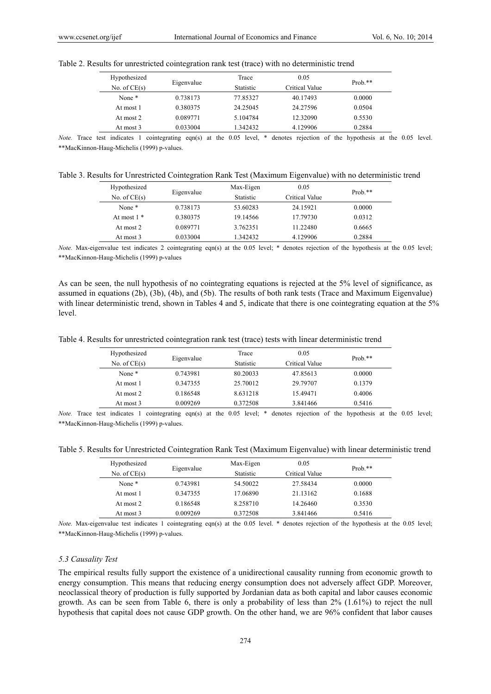| Hypothesized      |            | Trace     | 0.05           | $Prob.**$ |
|-------------------|------------|-----------|----------------|-----------|
| No. of $CE(s)$    | Eigenvalue | Statistic | Critical Value |           |
| None <sup>*</sup> | 0.738173   | 77.85327  | 40.17493       | 0.0000    |
| At most 1         | 0.380375   | 24.25045  | 24.27596       | 0.0504    |
| At most 2         | 0.089771   | 5.104784  | 12.32090       | 0.5530    |
| At most 3         | 0.033004   | 1.342432  | 4.129906       | 0.2884    |

Table 2. Results for unrestricted cointegration rank test (trace) with no deterministic trend

*Note.* Trace test indicates 1 cointegrating eqn(s) at the 0.05 level, \* denotes rejection of the hypothesis at the 0.05 level. \*\*MacKinnon-Haug-Michelis (1999) p-values.

Table 3. Results for Unrestricted Cointegration Rank Test (Maximum Eigenvalue) with no deterministic trend

| Hypothesized      |            | Max-Eigen | 0.05           | Prob. $**$ |
|-------------------|------------|-----------|----------------|------------|
| No. of $CE(s)$    | Eigenvalue | Statistic | Critical Value |            |
| None <sup>*</sup> | 0.738173   | 53.60283  | 24.15921       | 0.0000     |
| At most $1 *$     | 0.380375   | 19.14566  | 17.79730       | 0.0312     |
| At most 2         | 0.089771   | 3.762351  | 11.22480       | 0.6665     |
| At most 3         | 0.033004   | 1.342432  | 4.129906       | 0.2884     |

*Note.* Max-eigenvalue test indicates 2 cointegrating eqn(s) at the 0.05 level; \* denotes rejection of the hypothesis at the 0.05 level; \*\*MacKinnon-Haug-Michelis (1999) p-values

As can be seen, the null hypothesis of no cointegrating equations is rejected at the 5% level of significance, as assumed in equations (2b), (3b), (4b), and (5b). The results of both rank tests (Trace and Maximum Eigenvalue) with linear deterministic trend, shown in Tables 4 and 5, indicate that there is one cointegrating equation at the 5% level.

Table 4. Results for unrestricted cointegration rank test (trace) tests with linear deterministic trend

| Hypothesized      |            | Trace            | 0.05           | Prob. $**$ |
|-------------------|------------|------------------|----------------|------------|
| No. of $CE(s)$    | Eigenvalue | <b>Statistic</b> | Critical Value |            |
| None <sup>*</sup> | 0.743981   | 80.20033         | 47.85613       | 0.0000     |
| At most 1         | 0.347355   | 25.70012         | 29.79707       | 0.1379     |
| At most 2         | 0.186548   | 8.631218         | 15.49471       | 0.4006     |
| At most 3         | 0.009269   | 0.372508         | 3.841466       | 0.5416     |
|                   |            |                  |                |            |

*Note.* Trace test indicates 1 cointegrating eqn(s) at the 0.05 level; \* denotes rejection of the hypothesis at the 0.05 level; \*\*MacKinnon-Haug-Michelis (1999) p-values.

Table 5. Results for Unrestricted Cointegration Rank Test (Maximum Eigenvalue) with linear deterministic trend

| Hypothesized      | Eigenvalue | Max-Eigen        | 0.05           | $Prob.**$ |
|-------------------|------------|------------------|----------------|-----------|
| No. of $CE(s)$    |            | <b>Statistic</b> | Critical Value |           |
| None <sup>*</sup> | 0.743981   | 54.50022         | 27.58434       | 0.0000    |
| At most 1         | 0.347355   | 17.06890         | 21.13162       | 0.1688    |
| At most 2         | 0.186548   | 8.258710         | 14.26460       | 0.3530    |
| At most 3         | 0.009269   | 0.372508         | 3.841466       | 0.5416    |

*Note.* Max-eigenvalue test indicates 1 cointegrating eqn(s) at the 0.05 level. \* denotes rejection of the hypothesis at the 0.05 level; \*\*MacKinnon-Haug-Michelis (1999) p-values.

#### *5.3 Causality Test*

The empirical results fully support the existence of a unidirectional causality running from economic growth to energy consumption. This means that reducing energy consumption does not adversely affect GDP. Moreover, neoclassical theory of production is fully supported by Jordanian data as both capital and labor causes economic growth. As can be seen from Table 6, there is only a probability of less than 2% (1.61%) to reject the null hypothesis that capital does not cause GDP growth. On the other hand, we are 96% confident that labor causes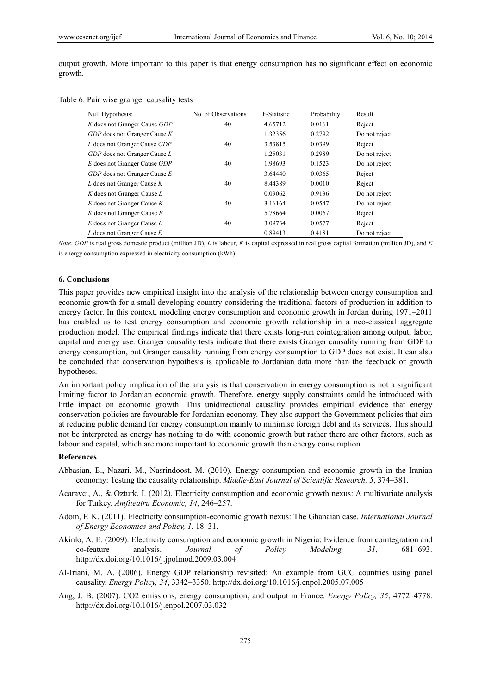output growth. More important to this paper is that energy consumption has no significant effect on economic growth.

Table 6. Pair wise granger causality tests

| Null Hypothesis:               | No. of Observations | F-Statistic | Probability | Result        |
|--------------------------------|---------------------|-------------|-------------|---------------|
| K does not Granger Cause GDP   | 40                  | 4.65712     | 0.0161      | Reject        |
| GDP does not Granger Cause K   |                     | 1.32356     | 0.2792      | Do not reject |
| L does not Granger Cause GDP   | 40                  | 3.53815     | 0.0399      | Reject        |
| GDP does not Granger Cause L   |                     | 1.25031     | 0.2989      | Do not reject |
| E does not Granger Cause GDP   | 40                  | 1.98693     | 0.1523      | Do not reject |
| GDP does not Granger Cause E   |                     | 3.64440     | 0.0365      | Reject        |
| L does not Granger Cause $K$   | 40                  | 8.44389     | 0.0010      | Reject        |
| K does not Granger Cause L     |                     | 0.09062     | 0.9136      | Do not reject |
| $E$ does not Granger Cause $K$ | 40                  | 3.16164     | 0.0547      | Do not reject |
| K does not Granger Cause $E$   |                     | 5.78664     | 0.0067      | Reject        |
| E does not Granger Cause L     | 40                  | 3.09734     | 0.0577      | Reject        |
| L does not Granger Cause $E$   |                     | 0.89413     | 0.4181      | Do not reject |

*Note. GDP* is real gross domestic product (million JD), *L* is labour, *K* is capital expressed in real gross capital formation (million JD), and *E* is energy consumption expressed in electricity consumption (kWh).

# **6. Conclusions**

This paper provides new empirical insight into the analysis of the relationship between energy consumption and economic growth for a small developing country considering the traditional factors of production in addition to energy factor. In this context, modeling energy consumption and economic growth in Jordan during 1971–2011 has enabled us to test energy consumption and economic growth relationship in a neo-classical aggregate production model. The empirical findings indicate that there exists long-run cointegration among output, labor, capital and energy use. Granger causality tests indicate that there exists Granger causality running from GDP to energy consumption, but Granger causality running from energy consumption to GDP does not exist. It can also be concluded that conservation hypothesis is applicable to Jordanian data more than the feedback or growth hypotheses.

An important policy implication of the analysis is that conservation in energy consumption is not a significant limiting factor to Jordanian economic growth. Therefore, energy supply constraints could be introduced with little impact on economic growth. This unidirectional causality provides empirical evidence that energy conservation policies are favourable for Jordanian economy. They also support the Government policies that aim at reducing public demand for energy consumption mainly to minimise foreign debt and its services. This should not be interpreted as energy has nothing to do with economic growth but rather there are other factors, such as labour and capital, which are more important to economic growth than energy consumption.

# **References**

- Abbasian, E., Nazari, M., Nasrindoost, M. (2010). Energy consumption and economic growth in the Iranian economy: Testing the causality relationship. *Middle-East Journal of Scientific Research, 5*, 374–381.
- Acaravci, A., & Ozturk, I. (2012). Electricity consumption and economic growth nexus: A multivariate analysis for Turkey. *Amfiteatru Economic, 14*, 246–257.
- Adom, P. K. (2011). Electricity consumption-economic growth nexus: The Ghanaian case. *International Journal of Energy Economics and Policy, 1*, 18–31.
- Akinlo, A. E. (2009). Electricity consumption and economic growth in Nigeria: Evidence from cointegration and co-feature analysis. *Journal of Policy Modeling, 31*, 681–693. http://dx.doi.org/10.1016/j.jpolmod.2009.03.004
- Al-Iriani, M. A. (2006). Energy–GDP relationship revisited: An example from GCC countries using panel causality. *Energy Policy, 34*, 3342–3350. http://dx.doi.org/10.1016/j.enpol.2005.07.005
- Ang, J. B. (2007). CO2 emissions, energy consumption, and output in France. *Energy Policy, 35*, 4772–4778. http://dx.doi.org/10.1016/j.enpol.2007.03.032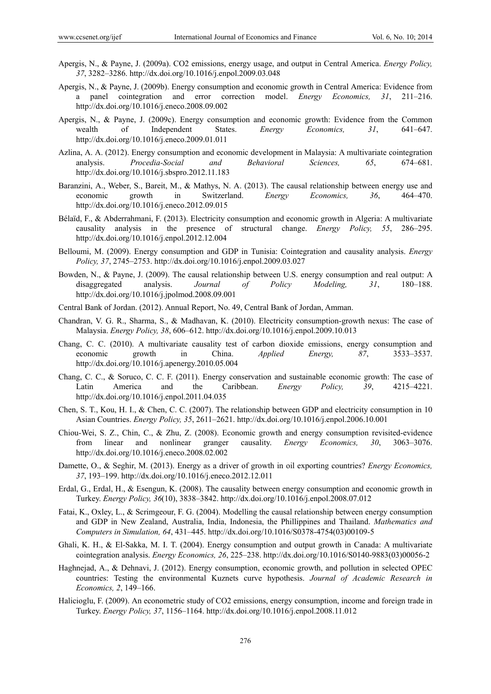- Apergis, N., & Payne, J. (2009a). CO2 emissions, energy usage, and output in Central America. *Energy Policy, 37*, 3282–3286. http://dx.doi.org/10.1016/j.enpol.2009.03.048
- Apergis, N., & Payne, J. (2009b). Energy consumption and economic growth in Central America: Evidence from a panel cointegration and error correction model. *Energy Economics, 31*, 211–216. http://dx.doi.org/10.1016/j.eneco.2008.09.002
- Apergis, N., & Payne, J. (2009c). Energy consumption and economic growth: Evidence from the Common wealth of Independent States. *Energy Economics, 31*, 641–647. http://dx.doi.org/10.1016/j.eneco.2009.01.011
- Azlina, A. A. (2012). Energy consumption and economic development in Malaysia: A multivariate cointegration analysis. *Procedia-Social and Behavioral Sciences, 65*, 674–681. http://dx.doi.org/10.1016/j.sbspro.2012.11.183
- Baranzini, A., Weber, S., Bareit, M., & Mathys, N. A. (2013). The causal relationship between energy use and economic growth in Switzerland. *Energy Economics, 36*, 464–470. http://dx.doi.org/10.1016/j.eneco.2012.09.015
- Bélaïd, F., & Abderrahmani, F. (2013). Electricity consumption and economic growth in Algeria: A multivariate causality analysis in the presence of structural change. *Energy Policy, 55*, 286–295. http://dx.doi.org/10.1016/j.enpol.2012.12.004
- Belloumi, M. (2009). Energy consumption and GDP in Tunisia: Cointegration and causality analysis. *Energy Policy, 37*, 2745–2753. http://dx.doi.org/10.1016/j.enpol.2009.03.027
- Bowden, N., & Payne, J. (2009). The causal relationship between U.S. energy consumption and real output: A disaggregated analysis. *Journal of Policy Modeling, 31*, 180–188. http://dx.doi.org/10.1016/j.jpolmod.2008.09.001
- Central Bank of Jordan. (2012). Annual Report, No. 49, Central Bank of Jordan, Amman.
- Chandran, V. G. R., Sharma, S., & Madhavan, K. (2010). Electricity consumption-growth nexus: The case of Malaysia. *Energy Policy, 38*, 606–612. http://dx.doi.org/10.1016/j.enpol.2009.10.013
- Chang, C. C. (2010). A multivariate causality test of carbon dioxide emissions, energy consumption and economic growth in China. *Applied Energy, 87*, 3533–3537. http://dx.doi.org/10.1016/j.apenergy.2010.05.004
- Chang, C. C., & Soruco, C. C. F. (2011). Energy conservation and sustainable economic growth: The case of Latin America and the Caribbean. *Energy Policy, 39*, 4215–4221. http://dx.doi.org/10.1016/j.enpol.2011.04.035
- Chen, S. T., Kou, H. I., & Chen, C. C. (2007). The relationship between GDP and electricity consumption in 10 Asian Countries. *Energy Policy, 35*, 2611–2621. http://dx.doi.org/10.1016/j.enpol.2006.10.001
- Chiou-Wei, S. Z., Chin, C., & Zhu, Z. (2008). Economic growth and energy consumption revisited-evidence from linear and nonlinear granger causality. *Energy Economics, 30*, 3063–3076. http://dx.doi.org/10.1016/j.eneco.2008.02.002
- Damette, O., & Seghir, M. (2013). Energy as a driver of growth in oil exporting countries? *Energy Economics, 37*, 193–199. http://dx.doi.org/10.1016/j.eneco.2012.12.011
- Erdal, G., Erdal, H., & Esengun, K. (2008). The causality between energy consumption and economic growth in Turkey. *Energy Policy, 36*(10), 3838–3842. http://dx.doi.org/10.1016/j.enpol.2008.07.012
- Fatai, K., Oxley, L., & Scrimgeour, F. G. (2004). Modelling the causal relationship between energy consumption and GDP in New Zealand, Australia, India, Indonesia, the Phillippines and Thailand. *Mathematics and Computers in Simulation, 64*, 431–445. http://dx.doi.org/10.1016/S0378-4754(03)00109-5
- Ghali, K. H., & El-Sakka, M. I. T. (2004). Energy consumption and output growth in Canada: A multivariate cointegration analysis. *Energy Economics, 26*, 225–238. http://dx.doi.org/10.1016/S0140-9883(03)00056-2
- Haghnejad, A., & Dehnavi, J. (2012). Energy consumption, economic growth, and pollution in selected OPEC countries: Testing the environmental Kuznets curve hypothesis. *Journal of Academic Research in Economics, 2*, 149–166.
- Halicioglu, F. (2009). An econometric study of CO2 emissions, energy consumption, income and foreign trade in Turkey. *Energy Policy, 37*, 1156–1164. http://dx.doi.org/10.1016/j.enpol.2008.11.012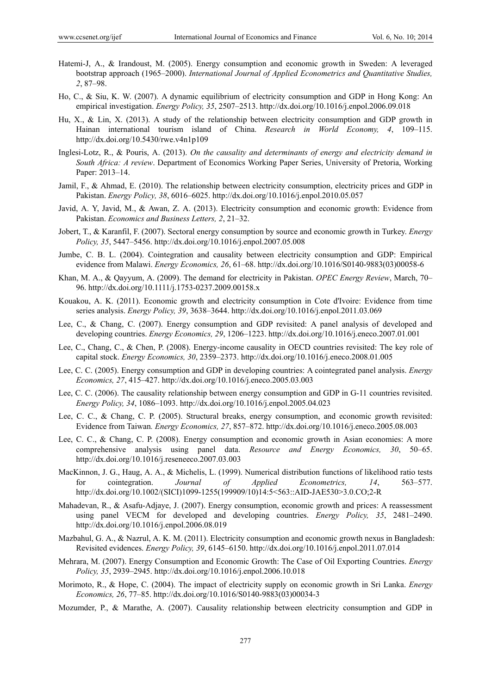- Hatemi-J, A., & Irandoust, M. (2005). Energy consumption and economic growth in Sweden: A leveraged bootstrap approach (1965–2000). *International Journal of Applied Econometrics and Quantitative Studies, 2*, 87–98.
- Ho, C., & Siu, K. W. (2007). A dynamic equilibrium of electricity consumption and GDP in Hong Kong: An empirical investigation. *Energy Policy, 35*, 2507–2513. http://dx.doi.org/10.1016/j.enpol.2006.09.018
- Hu, X., & Lin, X. (2013). A study of the relationship between electricity consumption and GDP growth in Hainan international tourism island of China. *Research in World Economy, 4*, 109–115. http://dx.doi.org/10.5430/rwe.v4n1p109
- Inglesi-Lotz, R., & Pouris, A. (2013). *On the causality and determinants of energy and electricity demand in South Africa: A review*. Department of Economics Working Paper Series, University of Pretoria, Working Paper: 2013–14.
- Jamil, F., & Ahmad, E. (2010). The relationship between electricity consumption, electricity prices and GDP in Pakistan. *Energy Policy, 38*, 6016–6025. http://dx.doi.org/10.1016/j.enpol.2010.05.057
- Javid, A. Y, Javid, M., & Awan, Z. A. (2013). Electricity consumption and economic growth: Evidence from Pakistan. *Economics and Business Letters, 2*, 21–32.
- Jobert, T., & Karanfil, F. (2007). Sectoral energy consumption by source and economic growth in Turkey. *Energy Policy, 35*, 5447–5456. http://dx.doi.org/10.1016/j.enpol.2007.05.008
- Jumbe, C. B. L. (2004). Cointegration and causality between electricity consumption and GDP: Empirical evidence from Malawi. *Energy Economics, 26*, 61–68. http://dx.doi.org/10.1016/S0140-9883(03)00058-6
- Khan, M. A., & Qayyum, A. (2009). The demand for electricity in Pakistan. *OPEC Energy Review*, March, 70– 96. http://dx.doi.org/10.1111/j.1753-0237.2009.00158.x
- Kouakou, A. K. (2011). Economic growth and electricity consumption in Cote d'Ivoire: Evidence from time series analysis. *Energy Policy, 39*, 3638–3644. http://dx.doi.org/10.1016/j.enpol.2011.03.069
- Lee, C., & Chang, C. (2007). Energy consumption and GDP revisited: A panel analysis of developed and developing countries. *Energy Economics, 29*, 1206–1223. http://dx.doi.org/10.1016/j.eneco.2007.01.001
- Lee, C., Chang, C., & Chen, P. (2008). Energy-income causality in OECD countries revisited: The key role of capital stock. *Energy Economics, 30*, 2359–2373. http://dx.doi.org/10.1016/j.eneco.2008.01.005
- Lee, C. C. (2005). Energy consumption and GDP in developing countries: A cointegrated panel analysis. *Energy Economics, 27*, 415–427. http://dx.doi.org/10.1016/j.eneco.2005.03.003
- Lee, C. C. (2006). The causality relationship between energy consumption and GDP in G-11 countries revisited. *Energy Policy, 34*, 1086–1093. http://dx.doi.org/10.1016/j.enpol.2005.04.023
- Lee, C. C., & Chang, C. P. (2005). Structural breaks, energy consumption, and economic growth revisited: Evidence from Taiwan*. Energy Economics, 27*, 857–872. http://dx.doi.org/10.1016/j.eneco.2005.08.003
- Lee, C. C., & Chang, C. P. (2008). Energy consumption and economic growth in Asian economies: A more comprehensive analysis using panel data. *Resource and Energy Economics, 30*, 50–65. http://dx.doi.org/10.1016/j.reseneeco.2007.03.003
- MacKinnon, J. G., Haug, A. A., & Michelis, L. (1999). Numerical distribution functions of likelihood ratio tests for cointegration. *Journal of Applied Econometrics, 14*, 563–577. http://dx.doi.org/10.1002/(SICI)1099-1255(199909/10)14:5<563::AID-JAE530>3.0.CO;2-R
- Mahadevan, R., & Asafu-Adjaye, J. (2007). Energy consumption, economic growth and prices: A reassessment using panel VECM for developed and developing countries. *Energy Policy, 35*, 2481–2490. http://dx.doi.org/10.1016/j.enpol.2006.08.019
- Mazbahul, G. A., & Nazrul, A. K. M. (2011). Electricity consumption and economic growth nexus in Bangladesh: Revisited evidences. *Energy Policy, 39*, 6145–6150. http://dx.doi.org/10.1016/j.enpol.2011.07.014
- Mehrara, M. (2007). Energy Consumption and Economic Growth: The Case of Oil Exporting Countries. *Energy Policy, 35*, 2939–2945. http://dx.doi.org/10.1016/j.enpol.2006.10.018
- Morimoto, R., & Hope, C. (2004). The impact of electricity supply on economic growth in Sri Lanka. *Energy Economics, 26*, 77–85. http://dx.doi.org/10.1016/S0140-9883(03)00034-3
- Mozumder, P., & Marathe, A. (2007). Causality relationship between electricity consumption and GDP in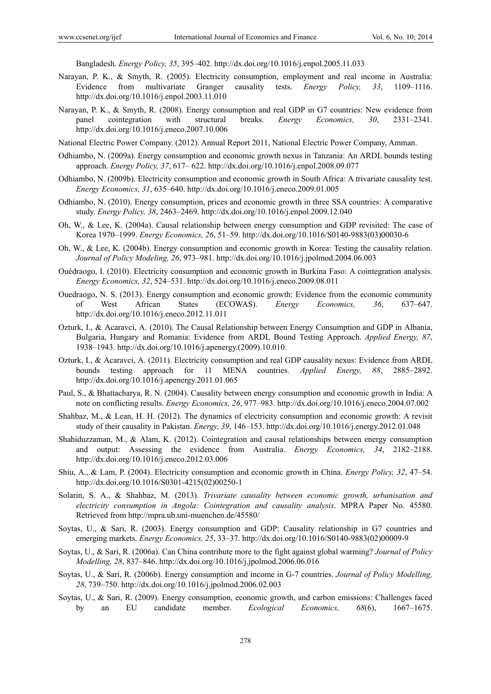Bangladesh. *Energy Policy, 35*, 395–402. http://dx.doi.org/10.1016/j.enpol.2005.11.033

- Narayan, P. K., & Smyth, R. (2005). Electricity consumption, employment and real income in Australia: Evidence from multivariate Granger causality tests. *Energy Policy, 33*, 1109–1116. http://dx.doi.org/10.1016/j.enpol.2003.11.010
- Narayan, P. K., & Smyth, R. (2008). Energy consumption and real GDP in G7 countries: New evidence from panel cointegration with structural breaks. *Energy Economics, 30*, 2331–2341. http://dx.doi.org/10.1016/j.eneco.2007.10.006
- National Electric Power Company. (2012). Annual Report 2011, National Electric Power Company, Amman.
- Odhiambo, N. (2009a). Energy consumption and economic growth nexus in Tanzania: An ARDL bounds testing approach. *Energy Policy, 37*, 617– 622. http://dx.doi.org/10.1016/j.enpol.2008.09.077
- Odhiambo, N. (2009b). Electricity consumption and economic growth in South Africa: A trivariate causality test. *Energy Economics, 31*, 635–640. http://dx.doi.org/10.1016/j.eneco.2009.01.005
- Odhiambo, N. (2010). Energy consumption, prices and economic growth in three SSA countries: A comparative study. *Energy Policy, 38*, 2463–2469. http://dx.doi.org/10.1016/j.enpol.2009.12.040
- Oh, W., & Lee, K. (2004a). Causal relationship between energy consumption and GDP revisited: The case of Korea 1970–1999. *Energy Economics, 26*, 51–59. http://dx.doi.org/10.1016/S0140-9883(03)00030-6
- Oh, W., & Lee, K. (2004b). Energy consumption and economic growth in Korea: Testing the causality relation. *Journal of Policy Modeling, 26*, 973–981. http://dx.doi.org/10.1016/j.jpolmod.2004.06.003
- Ouédraogo, I. (2010). Electricity consumption and economic growth in Burkina Faso: A cointegration analysis. *Energy Economics, 32*, 524–531. http://dx.doi.org/10.1016/j.eneco.2009.08.011
- Ouedraogo, N. S. (2013). Energy consumption and economic growth: Evidence from the economic community of West African States (ECOWAS). *Energy Economics, 36*, 637–647. http://dx.doi.org/10.1016/j.eneco.2012.11.011
- Ozturk, I., & Acaravci, A. (2010). The Causal Relationship between Energy Consumption and GDP in Albania, Bulgaria, Hungary and Romania: Evidence from ARDL Bound Testing Approach. *Applied Energy, 87*, 1938–1943. http://dx.doi.org/10.1016/j.apenergy.(2009).10.010.
- Ozturk, I., & Acaravci, A. (2011). Electricity consumption and real GDP causality nexus: Evidence from ARDL bounds testing approach for 11 MENA countries. *Applied Energy, 88*, 2885–2892. http://dx.doi.org/10.1016/j.apenergy.2011.01.065
- Paul, S., & Bhattacharya, R. N. (2004). Causality between energy consumption and economic growth in India: A note on conflicting results. *Energy Economics, 26*, 977–983. http://dx.doi.org/10.1016/j.eneco.2004.07.002
- Shahbaz, M., & Lean, H. H. (2012). The dynamics of electricity consumption and economic growth: A revisit study of their causality in Pakistan. *Energy, 39*, 146–153. http://dx.doi.org/10.1016/j.energy.2012.01.048
- Shahiduzzaman, M., & Alam, K. (2012). Cointegration and causal relationships between energy consumption and output: Assessing the evidence from Australia. *Energy Economics, 34*, 2182–2188. http://dx.doi.org/10.1016/j.eneco.2012.03.006
- Shiu, A., & Lam, P. (2004). Electricity consumption and economic growth in China. *Energy Policy, 32*, 47–54. http://dx.doi.org/10.1016/S0301-4215(02)00250-1
- Solarin, S. A., & Shahbaz, M. (2013). *Trivariate causality between economic growth, urbanisation and electricity consumption in Angola: Cointegration and causality analysis*. MPRA Paper No. 45580. Retrieved from http://mpra.ub.uni-muenchen.de/45580/
- Soytas, U., & Sari, R. (2003). Energy consumption and GDP: Causality relationship in G7 countries and emerging markets. *Energy Economics, 25*, 33–37. http://dx.doi.org/10.1016/S0140-9883(02)00009-9
- Soytas, U., & Sari, R. (2006a). Can China contribute more to the fight against global warming? *Journal of Policy Modelling, 28*, 837–846. http://dx.doi.org/10.1016/j.jpolmod.2006.06.016
- Soytas, U., & Sari, R. (2006b). Energy consumption and income in G-7 countries. *Journal of Policy Modelling, 28*, 739–750. http://dx.doi.org/10.1016/j.jpolmod.2006.02.003
- Soytas, U., & Sari, R. (2009). Energy consumption, economic growth, and carbon emissions: Challenges faced by an EU candidate member. *Ecological Economics, 68*(6), 1667–1675.